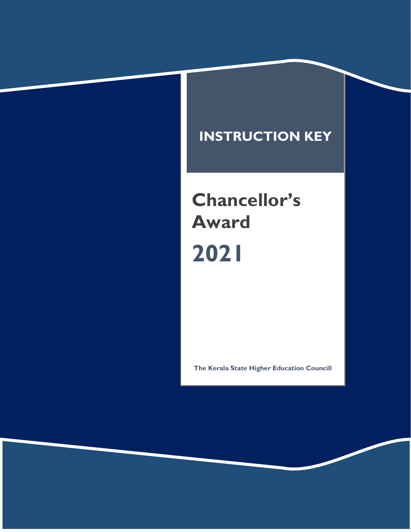## **INSTRUCTION KEY**

## **Chancellor's Award 2021**

**The Kerala State Higher Education Councill**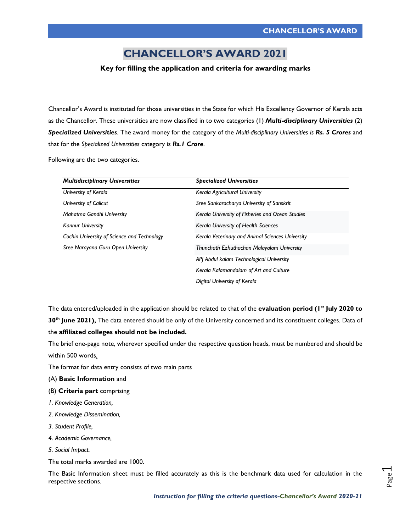## **CHANCELLOR'S AWARD 2021**

## **Key for filling the application and criteria for awarding marks**

Chancellor's Award is instituted for those universities in the State for which His Excellency Governor of Kerala acts as the Chancellor. These universities are now classified in to two categories (1) *Multi-disciplinary Universities* (2) *Specialized Universities*. The award money for the category of the *Multi-disciplinary Universities is Rs. 5 Crores* and that for the *Specialized Universities* category is *Rs.1 Crore*.

Following are the two categories.

| <b>Multidisciplinary Universities</b>       | <b>Specialized Universities</b>                  |
|---------------------------------------------|--------------------------------------------------|
| University of Kerala                        | Kerala Agricultural University                   |
| University of Calicut                       | Sree Sankaracharya University of Sanskrit        |
| Mahatma Gandhi University                   | Kerala University of Fisheries and Ocean Studies |
| <b>Kannur University</b>                    | Kerala University of Health Sciences             |
| Cochin University of Science and Technology | Kerala Veterinary and Animal Sciences University |
| Sree Narayana Guru Open University          | Thunchath Ezhuthachan Malayalam University       |
|                                             | API Abdul kalam Technological University         |
|                                             | Kerala Kalamandalam of Art and Culture           |
|                                             | Digital University of Kerala                     |

The data entered/uploaded in the application should be related to that of the **evaluation period (1st July 2020 to** 

**30th June 2021),** The data entered should be only of the University concerned and its constituent colleges. Data of the **affiliated colleges should not be included.**

The brief one-page note, wherever specified under the respective question heads, must be numbered and should be within 500 words.

The format for data entry consists of two main parts

- (A) **Basic Information** and
- (B) **Criteria part** comprising
- *1. Knowledge Generation,*
- *2. Knowledge Dissemination,*
- *3. Student Profile,*
- *4. Academic Governance,*
- *5. Social Impact.*

The total marks awarded are 1000.

The Basic Information sheet must be filled accurately as this is the benchmark data used for calculation in the respective sections.

Page  $\overline{\phantom{0}}$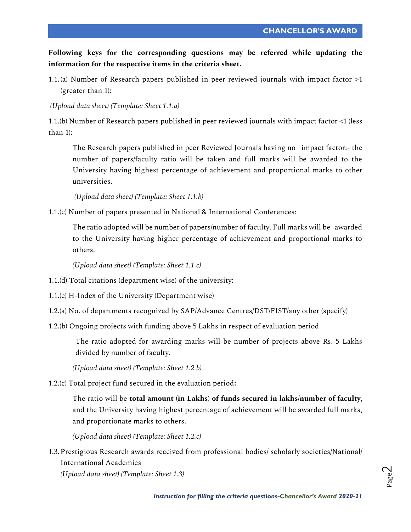**Following keys for the corresponding questions may be referred while updating the information for the respective items in the criteria sheet.**

1.1. (a) Number of Research papers published in peer reviewed journals with impact factor >1 (greater than 1):

*(Upload data sheet) (Template: Sheet 1.1.a)*

1.1.(b) Number of Research papers published in peer reviewed journals with impact factor <1 (less than 1):

The Research papers published in peer Reviewed Journals having no impact factor:- the number of papers/faculty ratio will be taken and full marks will be awarded to the University having highest percentage of achievement and proportional marks to other universities.

*(Upload data sheet) (Template: Sheet 1.1.b)*

1.1.(c) Number of papers presented in National & International Conferences:

The ratio adopted will be number of papers/number of faculty. Full marks will be awarded to the University having higher percentage of achievement and proportional marks to others.

*(Upload data sheet) (Template: Sheet 1.1.c)*

1.1.(d) Total citations (department wise) of the university:

- 1.1.(e) H-Index of the University (Department wise)
- 1.2.(a) No. of departments recognized by SAP/Advance Centres/DST/FIST/any other (specify)
- 1.2.(b) Ongoing projects with funding above 5 Lakhs in respect of evaluation period

The ratio adopted for awarding marks will be number of projects above Rs. 5 Lakhs divided by number of faculty.

*(Upload data sheet) (Template: Sheet 1.2.b)*

1.2.(c) Total project fund secured in the evaluation period**:**

The ratio will be **total amount (in Lakhs) of funds secured in lakhs/number of faculty**, and the University having highest percentage of achievement will be awarded full marks, and proportionate marks to others.

*(Upload data sheet) (Template: Sheet 1.2.c)*

1.3.Prestigious Research awards received from professional bodies/ scholarly societies/National/ International Academies

*(Upload data sheet) (Template: Sheet 1.3)*

Page  $\mathrel{\sim}$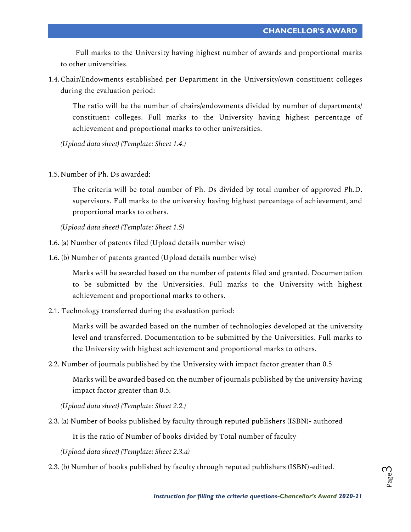Full marks to the University having highest number of awards and proportional marks to other universities.

1.4.Chair/Endowments established per Department in the University/own constituent colleges during the evaluation period:

The ratio will be the number of chairs/endowments divided by number of departments/ constituent colleges. Full marks to the University having highest percentage of achievement and proportional marks to other universities.

*(Upload data sheet) (Template: Sheet 1.4.)*

1.5.Number of Ph. Ds awarded:

The criteria will be total number of Ph. Ds divided by total number of approved Ph.D. supervisors. Full marks to the university having highest percentage of achievement, and proportional marks to others.

*(Upload data sheet) (Template: Sheet 1.5)*

- 1.6. (a) Number of patents filed (Upload details number wise)
- 1.6. (b) Number of patents granted (Upload details number wise)

Marks will be awarded based on the number of patents filed and granted. Documentation to be submitted by the Universities. Full marks to the University with highest achievement and proportional marks to others.

2.1. Technology transferred during the evaluation period:

Marks will be awarded based on the number of technologies developed at the university level and transferred. Documentation to be submitted by the Universities. Full marks to the University with highest achievement and proportional marks to others.

2.2. Number of journals published by the University with impact factor greater than 0.5

Marks will be awarded based on the number of journals published by the university having impact factor greater than 0.5.

*(Upload data sheet) (Template: Sheet 2.2.)*

2.3. (a) Number of books published by faculty through reputed publishers (ISBN)- authored

It is the ratio of Number of books divided by Total number of faculty

*(Upload data sheet) (Template: Sheet 2.3.a)*

2.3. (b) Number of books published by faculty through reputed publishers (ISBN)-edited.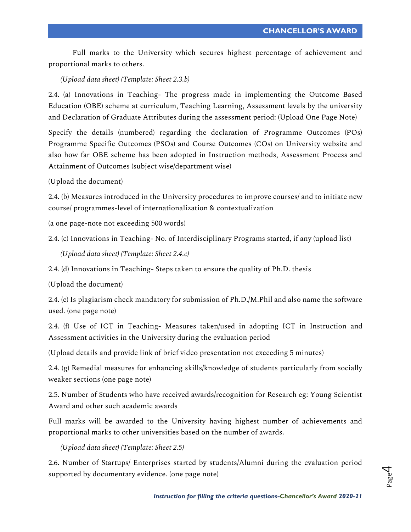Full marks to the University which secures highest percentage of achievement and proportional marks to others.

*(Upload data sheet) (Template: Sheet 2.3.b)*

2.4. (a) Innovations in Teaching- The progress made in implementing the Outcome Based Education (OBE) scheme at curriculum, Teaching Learning, Assessment levels by the university and Declaration of Graduate Attributes during the assessment period: (Upload One Page Note)

Specify the details (numbered) regarding the declaration of Programme Outcomes (POs) Programme Specific Outcomes (PSOs) and Course Outcomes (COs) on University website and also how far OBE scheme has been adopted in Instruction methods, Assessment Process and Attainment of Outcomes (subject wise/department wise)

(Upload the document)

2.4. (b) Measures introduced in the University procedures to improve courses/ and to initiate new course/ programmes-level of internationalization & contextualization

(a one page-note not exceeding 500 words)

2.4. (c) Innovations in Teaching- No. of Interdisciplinary Programs started, if any (upload list)

*(Upload data sheet) (Template: Sheet 2.4.c)*

2.4. (d) Innovations in Teaching- Steps taken to ensure the quality of Ph.D. thesis

(Upload the document)

2.4. (e) Is plagiarism check mandatory for submission of Ph.D./M.Phil and also name the software used. (one page note)

2.4. (f) Use of ICT in Teaching- Measures taken/used in adopting ICT in Instruction and Assessment activities in the University during the evaluation period

(Upload details and provide link of brief video presentation not exceeding 5 minutes)

2.4. (g) Remedial measures for enhancing skills/knowledge of students particularly from socially weaker sections (one page note)

2.5. Number of Students who have received awards/recognition for Research eg: Young Scientist Award and other such academic awards

Full marks will be awarded to the University having highest number of achievements and proportional marks to other universities based on the number of awards.

*(Upload data sheet) (Template: Sheet 2.5)*

2.6. Number of Startups/ Enterprises started by students/Alumni during the evaluation period supported by documentary evidence. (one page note)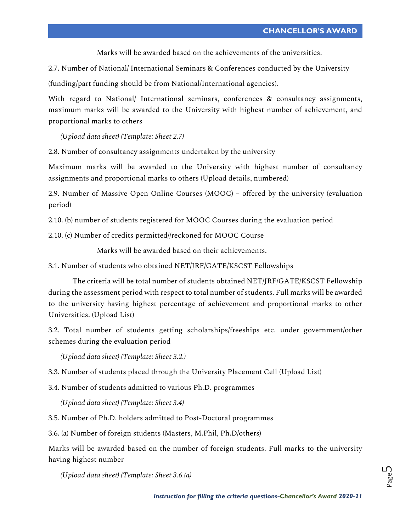Marks will be awarded based on the achievements of the universities.

2.7. Number of National/ International Seminars & Conferences conducted by the University

(funding/part funding should be from National/International agencies).

With regard to National/ International seminars, conferences & consultancy assignments, maximum marks will be awarded to the University with highest number of achievement, and proportional marks to others

*(Upload data sheet) (Template: Sheet 2.7)*

2.8. Number of consultancy assignments undertaken by the university

Maximum marks will be awarded to the University with highest number of consultancy assignments and proportional marks to others (Upload details, numbered)

2.9. Number of Massive Open Online Courses (MOOC) – offered by the university (evaluation period)

2.10. (b) number of students registered for MOOC Courses during the evaluation period

2.10. (c) Number of credits permitted//reckoned for MOOC Course

Marks will be awarded based on their achievements.

3.1. Number of students who obtained NET/JRF/GATE/KSCST Fellowships

The criteria will be total number of students obtained NET/JRF/GATE/KSCST Fellowship during the assessment period with respect to total number of students. Full marks will be awarded to the university having highest percentage of achievement and proportional marks to other Universities. (Upload List)

3.2. Total number of students getting scholarships/freeships etc. under government/other schemes during the evaluation period

*(Upload data sheet) (Template: Sheet 3.2.)*

3.3. Number of students placed through the University Placement Cell (Upload List)

3.4. Number of students admitted to various Ph.D. programmes

*(Upload data sheet) (Template: Sheet 3.4)*

3.5. Number of Ph.D. holders admitted to Post-Doctoral programmes

3.6. (a) Number of foreign students (Masters, M.Phil, Ph.D/others)

Marks will be awarded based on the number of foreign students. Full marks to the university having highest number

*(Upload data sheet) (Template: Sheet 3.6.(a)*

Page ഥ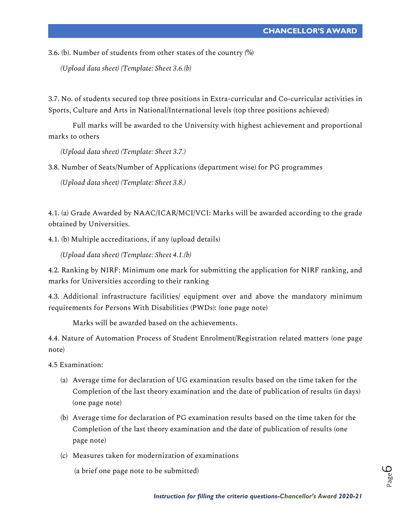3.6. (b). Number of students from other states of the country (%)

*(Upload data sheet) (Template: Sheet 3.6.(b)*

3.7. No. of students secured top three positions in Extra-curricular and Co-curricular activities in Sports, Culture and Arts in National/International levels (top three positions achieved)

Full marks will be awarded to the University with highest achievement and proportional marks to others

*(Upload data sheet) (Template: Sheet 3.7.)*

3.8. Number of Seats/Number of Applications (department wise) for PG programmes

*(Upload data sheet) (Template: Sheet 3.8.)*

4.1. (a) Grade Awarded by NAAC/ICAR/MCI/VCI: Marks will be awarded according to the grade obtained by Universities.

4.1. (b) Multiple accreditations, if any (upload details)

*(Upload data sheet) (Template: Sheet 4.1.(b)*

4.2. Ranking by NIRF: Minimum one mark for submitting the application for NIRF ranking, and marks for Universities according to their ranking

4.3. Additional infrastructure facilities/ equipment over and above the mandatory minimum requirements for Persons With Disabilities (PWDs): (one page note)

Marks will be awarded based on the achievements.

4.4. Nature of Automation Process of Student Enrolment/Registration related matters (one page note)

4.5 Examination:

- (a) Average time for declaration of UG examination results based on the time taken for the Completion of the last theory examination and the date of publication of results (in days) (one page note)
- (b) Average time for declaration of PG examination results based on the time taken for the Completion of the last theory examination and the date of publication of results (one page note)
- (c) Measures taken for modernization of examinations

(a brief one page note to be submitted)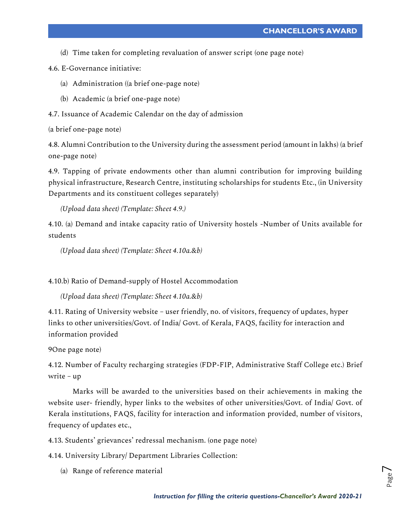(d) Time taken for completing revaluation of answer script (one page note)

4.6. E-Governance initiative:

- (a) Administration ((a brief one-page note)
- (b) Academic (a brief one-page note)
- 4.7. Issuance of Academic Calendar on the day of admission

(a brief one-page note)

4.8. Alumni Contribution to the University during the assessment period (amount in lakhs) (a brief one-page note)

4.9. Tapping of private endowments other than alumni contribution for improving building physical infrastructure, Research Centre, instituting scholarships for students Etc., (in University Departments and its constituent colleges separately)

*(Upload data sheet) (Template: Sheet 4.9.)*

4.10. (a) Demand and intake capacity ratio of University hostels -Number of Units available for students

*(Upload data sheet) (Template: Sheet 4.10a.&b)*

4.10.b) Ratio of Demand-supply of Hostel Accommodation

*(Upload data sheet) (Template: Sheet 4.10a.&b)*

4.11. Rating of University website – user friendly, no. of visitors, frequency of updates, hyper links to other universities/Govt. of India/ Govt. of Kerala, FAQS, facility for interaction and information provided

9One page note)

4.12. Number of Faculty recharging strategies (FDP-FIP, Administrative Staff College etc.) Brief write – up

Marks will be awarded to the universities based on their achievements in making the website user- friendly, hyper links to the websites of other universities/Govt. of India/ Govt. of Kerala institutions, FAQS, facility for interaction and information provided, number of visitors, frequency of updates etc.,

4.13. Students' grievances' redressal mechanism. (one page note)

4.14. University Library/ Department Libraries Collection:

(a) Range of reference material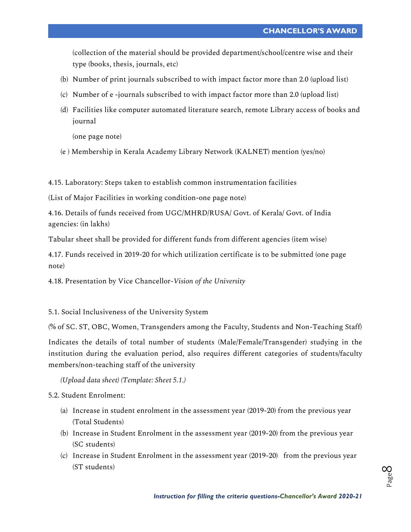(collection of the material should be provided department/school/centre wise and their type (books, thesis, journals, etc)

- (b) Number of print journals subscribed to with impact factor more than 2.0 (upload list)
- (c) Number of e -journals subscribed to with impact factor more than 2.0 (upload list)
- (d) Facilities like computer automated literature search, remote Library access of books and journal

(one page note)

(e ) Membership in Kerala Academy Library Network (KALNET) mention (yes/no)

4.15. Laboratory: Steps taken to establish common instrumentation facilities

(List of Major Facilities in working condition-one page note)

4.16. Details of funds received from UGC/MHRD/RUSA/ Govt. of Kerala/ Govt. of India agencies: (in lakhs)

Tabular sheet shall be provided for different funds from different agencies (item wise)

4.17. Funds received in 2019-20 for which utilization certificate is to be submitted (one page note)

4.18. Presentation by Vice Chancellor-*Vision of the University*

5.1. Social Inclusiveness of the University System

(% of SC. ST, OBC, Women, Transgenders among the Faculty, Students and Non-Teaching Staff)

Indicates the details of total number of students (Male/Female/Transgender) studying in the institution during the evaluation period, also requires different categories of students/faculty members/non-teaching staff of the university

*(Upload data sheet) (Template: Sheet 5.1.)*

5.2. Student Enrolment:

- (a) Increase in student enrolment in the assessment year (2019-20) from the previous year (Total Students)
- (b) Increase in Student Enrolment in the assessment year (2019-20) from the previous year (SC students)
- (c) Increase in Student Enrolment in the assessment year (2019-20) from the previous year (ST students)